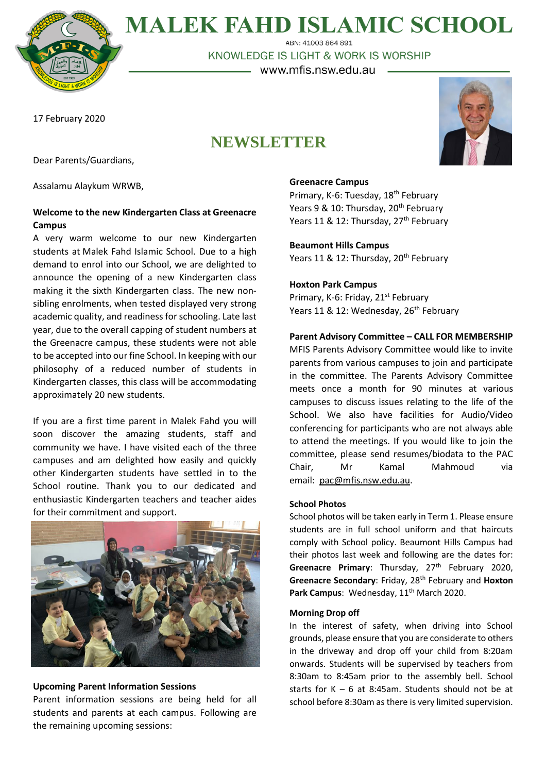

**MALEK FAHD ISLAMIC SCHOOL** ABN: 41003 864 891

KNOWLEDGE IS LIGHT & WORK IS WORSHIP

– www.mfis.nsw.edu.au –

17 February 2020

# **NEWSLETTER**



Dear Parents/Guardians,

Assalamu Alaykum WRWB,

# **Welcome to the new Kindergarten Class at Greenacre Campus**

A very warm welcome to our new Kindergarten students at Malek Fahd Islamic School. Due to a high demand to enrol into our School, we are delighted to announce the opening of a new Kindergarten class making it the sixth Kindergarten class. The new nonsibling enrolments, when tested displayed very strong academic quality, and readiness for schooling. Late last year, due to the overall capping of student numbers at the Greenacre campus, these students were not able to be accepted into our fine School. In keeping with our philosophy of a reduced number of students in Kindergarten classes, this class will be accommodating approximately 20 new students.

If you are a first time parent in Malek Fahd you will soon discover the amazing students, staff and community we have. I have visited each of the three campuses and am delighted how easily and quickly other Kindergarten students have settled in to the School routine. Thank you to our dedicated and enthusiastic Kindergarten teachers and teacher aides for their commitment and support.



# **Upcoming Parent Information Sessions**

Parent information sessions are being held for all students and parents at each campus. Following are the remaining upcoming sessions:

## **Greenacre Campus**

Primary, K-6: Tuesday, 18<sup>th</sup> February Years 9 & 10: Thursday, 20<sup>th</sup> February Years 11 & 12: Thursday, 27<sup>th</sup> February

**Beaumont Hills Campus** Years 11 & 12: Thursday, 20<sup>th</sup> February

## **Hoxton Park Campus**

Primary, K-6: Friday, 21<sup>st</sup> February Years 11 & 12: Wednesday, 26<sup>th</sup> February

# **Parent Advisory Committee – CALL FOR MEMBERSHIP**

MFIS Parents Advisory Committee would like to invite parents from various campuses to join and participate in the committee. The Parents Advisory Committee meets once a month for 90 minutes at various campuses to discuss issues relating to the life of the School. We also have facilities for Audio/Video conferencing for participants who are not always able to attend the meetings. If you would like to join the committee, please send resumes/biodata to the PAC Chair, Mr Kamal Mahmoud via email: [pac@mfis.nsw.edu.au.](mailto:pac@mfis.nsw.edu.au)

### **School Photos**

School photos will be taken early in Term 1. Please ensure students are in full school uniform and that haircuts comply with School policy. Beaumont Hills Campus had their photos last week and following are the dates for: Greenacre Primary: Thursday, 27<sup>th</sup> February 2020, **Greenacre Secondary**: Friday, 28th February and **Hoxton**  Park Campus: Wednesday, 11<sup>th</sup> March 2020.

#### **Morning Drop off**

In the interest of safety, when driving into School grounds, please ensure that you are considerate to others in the driveway and drop off your child from 8:20am onwards. Students will be supervised by teachers from 8:30am to 8:45am prior to the assembly bell. School starts for  $K - 6$  at 8:45am. Students should not be at school before 8:30am as there is very limited supervision.